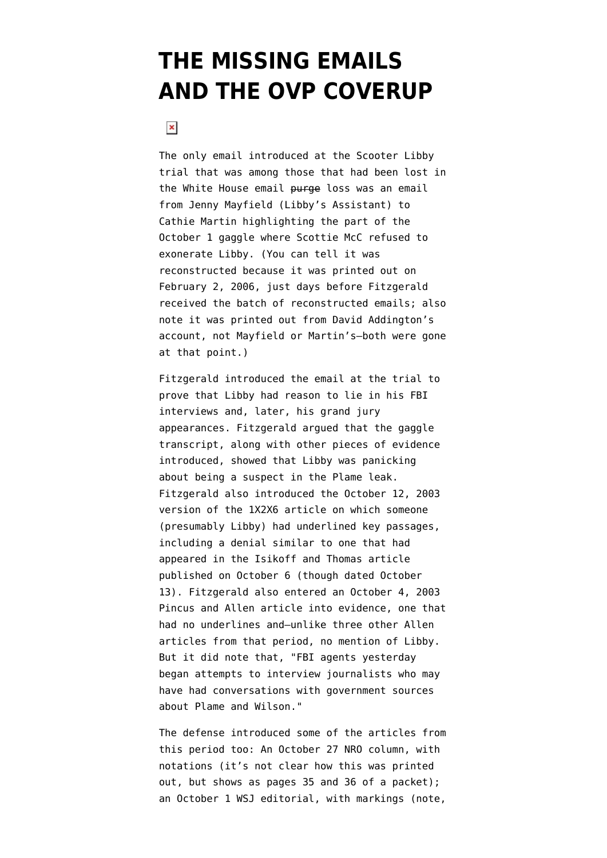## **[THE MISSING EMAILS](https://www.emptywheel.net/2008/06/11/the-missing-emails-and-the-ovp-coverup/) [AND THE OVP COVERUP](https://www.emptywheel.net/2008/06/11/the-missing-emails-and-the-ovp-coverup/)**

## $\pmb{\times}$

The only email introduced at the Scooter Libby trial that was among those that had been lost in the White House [email](http://emptywheel.firedoglake.com/files/28/files//2008/06/gx418-addington-email-of-scotty-gaggle.pdf) purge loss was an email [from Jenny Mayfield \(Libby's Assistant\) to](http://emptywheel.firedoglake.com/files/28/files//2008/06/gx418-addington-email-of-scotty-gaggle.pdf) [Cathie Martin](http://emptywheel.firedoglake.com/files/28/files//2008/06/gx418-addington-email-of-scotty-gaggle.pdf) highlighting the part of the October 1 gaggle where Scottie McC refused to exonerate Libby. (You can tell it was reconstructed because it was printed out on February 2, 2006, just days before Fitzgerald received the batch of reconstructed emails; also note it was printed out from David Addington's account, not Mayfield or Martin's–both were gone at that point.)

Fitzgerald introduced the email at the trial to prove that Libby had reason to lie in his FBI interviews and, later, his grand jury appearances. Fitzgerald argued that the gaggle transcript, along with other pieces of evidence introduced, showed that Libby was panicking about being a suspect in the Plame leak. Fitzgerald also introduced the [October 12, 2003](http://emptywheel.firedoglake.com/files/28/files//2008/06/gx42201-1012-wapo-article.PDF) [version](http://emptywheel.firedoglake.com/files/28/files//2008/06/gx42201-1012-wapo-article.PDF) of the 1X2X6 article on which someone (presumably Libby) had underlined key passages, including a denial similar to one that had appeared in the [Isikoff and Thomas article](http://72.14.205.104/search?q=cache:qyaZ4Pi7kk4J:www.truthout.org/docs_03/101003B.shtml+secrets+and+leaks&hl=en&ct=clnk&cd=6&gl=us&client=firefox-a) published on October 6 (though dated October 13). Fitzgerald also entered an [October 4, 2003](http://emptywheel.firedoglake.com/files/28/files//2008/06/gx42301-1004-wapo-article.PDF) [Pincus and Allen article](http://emptywheel.firedoglake.com/files/28/files//2008/06/gx42301-1004-wapo-article.PDF) into evidence, one that had no underlines and[–unlike three other Allen](http://emptywheel.firedoglake.com/2008/06/10/four-news-outlets-and-the-libby-exoneration/) [articles from that period,](http://emptywheel.firedoglake.com/2008/06/10/four-news-outlets-and-the-libby-exoneration/) no mention of Libby. But it did note that, "FBI agents yesterday began attempts to interview journalists who may have had conversations with government sources about Plame and Wilson."

The defense introduced some of the articles from this period too: An [October 27 NRO column,](http://emptywheel.firedoglake.com/files/28/files//2008/06/us-v-libby-dx1796-nro-article.pdf) with notations (it's not clear how this was printed out, but shows as pages 35 and 36 of a packet); an [October 1 WSJ editorial,](http://emptywheel.firedoglake.com/files/28/files//2008/06/us-v-libby-dx1797-wsj-editorial.pdf) with markings (note,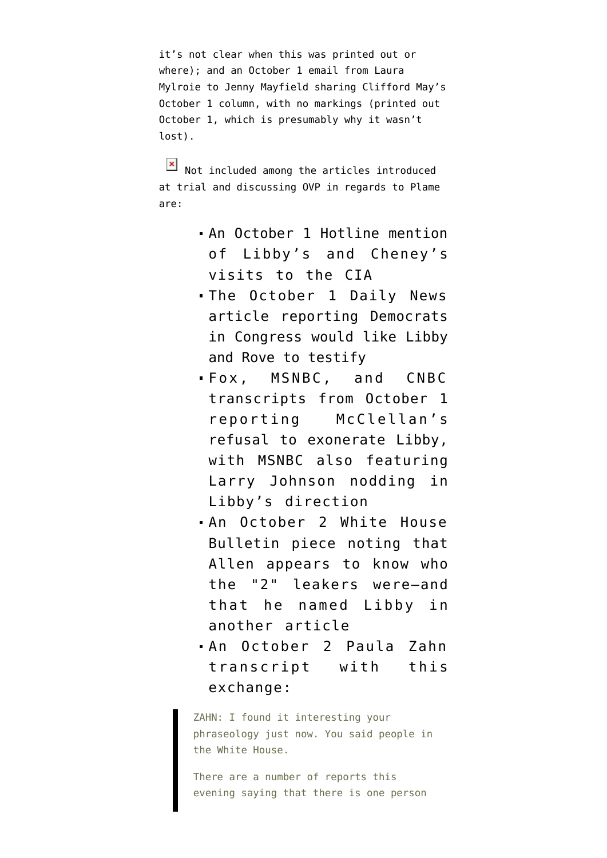it's not clear when this was printed out or where); and an October 1 [email from Laura](http://emptywheel.firedoglake.com/files/28/files//2008/06/us-v-libby-dx1795-mays-article.pdf) [Mylroie to Jenny Mayfield](http://emptywheel.firedoglake.com/files/28/files//2008/06/us-v-libby-dx1795-mays-article.pdf) sharing Clifford May's October 1 column, with no markings (printed out October 1, which is presumably why it wasn't lost).

 $\boxed{\times}$  Not included among the articles introduced at trial and discussing OVP in regards to Plame are:

- An October 1 Hotline mention of Libby's and Cheney's visits to the CIA
- The October 1 Daily News article reporting Democrats in Congress would like Libby and Rove to testify
- Fox, MSNBC, and CNBC transcripts from October 1 reporting McClellan's refusal to exonerate Libby, with MSNBC also featuring Larry Johnson nodding in Libby's direction
- An October 2 White House Bulletin piece noting that Allen appears to know who the "2" leakers were–and that he named Libby in another article
- An October 2 Paula Zahn transcript with this exchange:

ZAHN: I found it interesting your phraseology just now. You said people in the White House.

There are a number of reports this evening saying that there is one person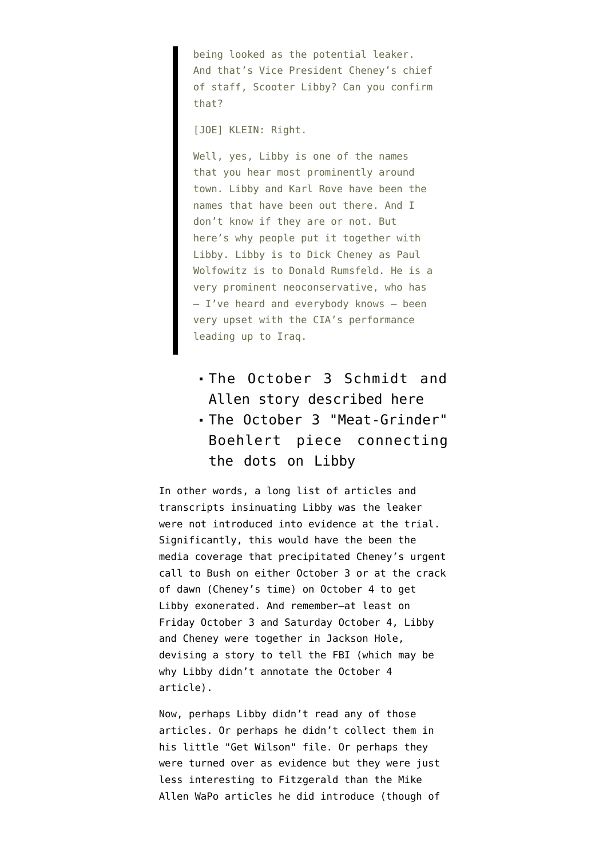being looked as the potential leaker. And that's Vice President Cheney's chief of staff, Scooter Libby? Can you confirm that?

[JOE] KLEIN: Right.

Well, yes, Libby is one of the names that you hear most prominently around town. Libby and Karl Rove have been the names that have been out there. And I don't know if they are or not. But here's why people put it together with Libby. Libby is to Dick Cheney as Paul Wolfowitz is to Donald Rumsfeld. He is a very prominent neoconservative, who has — I've heard and everybody knows — been very upset with the CIA's performance leading up to Iraq.

## The October 3 Schmidt and Allen story described [here](http://emptywheel.firedoglake.com/2008/06/10/four-news-outlets-and-the-libby-exoneration/)

The October 3 ["Meat-Grinder"](http://archive.salon.com/news/feature/2003/10/03/libby/) [Boehlert piece](http://archive.salon.com/news/feature/2003/10/03/libby/) connecting the dots on Libby

In other words, a long list of articles and transcripts insinuating Libby was the leaker were not introduced into evidence at the trial. Significantly, this would have the been the media coverage that precipitated Cheney's urgent call to Bush on either October 3 or at the crack of dawn (Cheney's time) on October 4 to get Libby exonerated. And remember–at least on Friday October 3 and Saturday October 4, Libby and Cheney were together in Jackson Hole, devising a story to tell the FBI (which may be why Libby didn't annotate the October 4 article).

Now, perhaps Libby didn't read any of those articles. Or perhaps he didn't collect them in his little "Get Wilson" file. Or perhaps they were turned over as evidence but they were just less interesting to Fitzgerald than the Mike Allen WaPo articles he did introduce (though of